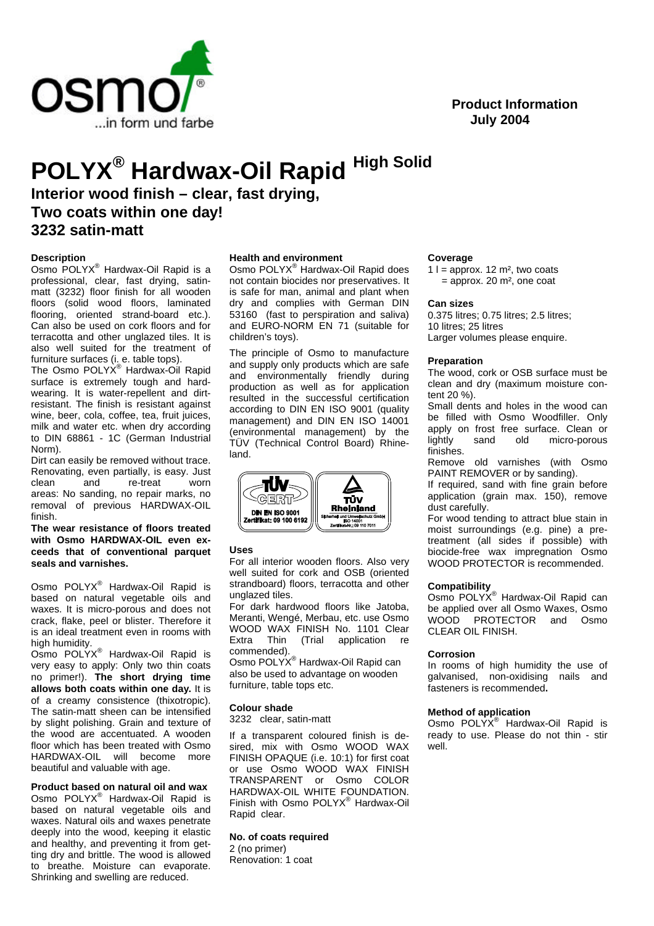

# **Product Information July 2004**

# **POLYX® Hardwax-Oil Rapid High Solid**

**Interior wood finish – clear, fast drying, Two coats within one day! 3232 satin-matt**

# **Description**

Osmo POLYX® Hardwax-Oil Rapid is a professional, clear, fast drying, satinmatt (3232) floor finish for all wooden floors (solid wood floors, laminated flooring, oriented strand-board etc.). Can also be used on cork floors and for terracotta and other unglazed tiles. It is also well suited for the treatment of furniture surfaces (i. e. table tops).

The Osmo POLYX<sup>®</sup> Hardwax-Oil Rapid surface is extremely tough and hardwearing. It is water-repellent and dirtresistant. The finish is resistant against wine, beer, cola, coffee, tea, fruit juices, milk and water etc. when dry according to DIN 68861 - 1C (German Industrial Norm).

Dirt can easily be removed without trace. Renovating, even partially, is easy. Just clean and re-treat worn areas: No sanding, no repair marks, no removal of previous HARDWAX-OIL finish.

**The wear resistance of floors treated with Osmo HARDWAX-OIL even exceeds that of conventional parquet seals and varnishes.**

Osmo POLYX® Hardwax-Oil Rapid is based on natural vegetable oils and waxes. It is micro-porous and does not crack, flake, peel or blister. Therefore it is an ideal treatment even in rooms with high humidity.

Osmo POLYX® Hardwax-Oil Rapid is very easy to apply: Only two thin coats no primer!). **The short drying time allows both coats within one day.** It is of a creamy consistence (thixotropic). The satin-matt sheen can be intensified by slight polishing. Grain and texture of the wood are accentuated. A wooden floor which has been treated with Osmo HARDWAX-OIL will become more beautiful and valuable with age.

**Product based on natural oil and wax** Osmo POLYX® Hardwax-Oil Rapid is based on natural vegetable oils and waxes. Natural oils and waxes penetrate deeply into the wood, keeping it elastic and healthy, and preventing it from getting dry and brittle. The wood is allowed to breathe. Moisture can evaporate. Shrinking and swelling are reduced.

# **Health and environment**

Osmo POLYX® Hardwax-Oil Rapid does not contain biocides nor preservatives. It is safe for man, animal and plant when dry and complies with German DIN 53160 (fast to perspiration and saliva) and EURO-NORM EN 71 (suitable for children's toys).

The principle of Osmo to manufacture and supply only products which are safe and environmentally friendly during production as well as for application resulted in the successful certification according to DIN EN ISO 9001 (quality management) and DIN EN ISO 14001 (environmental management) by the TÜV (Technical Control Board) Rhineland.



#### **Uses**

For all interior wooden floors. Also very well suited for cork and OSB (oriented strandboard) floors, terracotta and other unglazed tiles.

For dark hardwood floors like Jatoba, Meranti, Wengé, Merbau, etc. use Osmo WOOD WAX FINISH No. 1101 Clear Extra Thin (Trial application re commended).

Osmo POLYX® Hardwax-Oil Rapid can also be used to advantage on wooden furniture, table tops etc.

#### **Colour shade**

3232 clear, satin-matt

If a transparent coloured finish is desired, mix with Osmo WOOD WAX FINISH OPAQUE (i.e. 10:1) for first coat or use Osmo WOOD WAX FINISH TRANSPARENT or Osmo COLOR HARDWAX-OIL WHITE FOUNDATION. Finish with Osmo POLYX® Hardwax-Oil Rapid clear.

### **No. of coats required**

2 (no primer) Renovation: 1 coat

#### **Coverage**

1  $l =$  approx. 12 m<sup>2</sup>, two coats  $=$  approx. 20 m<sup>2</sup>, one coat

#### **Can sizes**

0.375 litres; 0.75 litres; 2.5 litres; 10 litres; 25 litres Larger volumes please enquire.

# **Preparation**

The wood, cork or OSB surface must be clean and dry (maximum moisture content 20 %).

Small dents and holes in the wood can be filled with Osmo Woodfiller. Only apply on frost free surface. Clean or<br>lightly sand old micro-porous micro-porous finishes.

Remove old varnishes (with Osmo PAINT REMOVER or by sanding).

If required, sand with fine grain before application (grain max. 150), remove dust carefully.

For wood tending to attract blue stain in moist surroundings (e.g. pine) a pretreatment (all sides if possible) with biocide-free wax impregnation Osmo WOOD PROTECTOR is recommended.

#### **Compatibility**

Osmo POLYX® Hardwax-Oil Rapid can be applied over all Osmo Waxes, Osmo WOOD PROTECTOR and Osmo CLEAR OIL FINISH.

#### **Corrosion**

In rooms of high humidity the use of galvanised, non-oxidising nails and fasteners is recommended**.**

#### **Method of application**

Osmo POLYX<sup>®</sup> Hardwax-Oil Rapid is ready to use. Please do not thin - stir well.